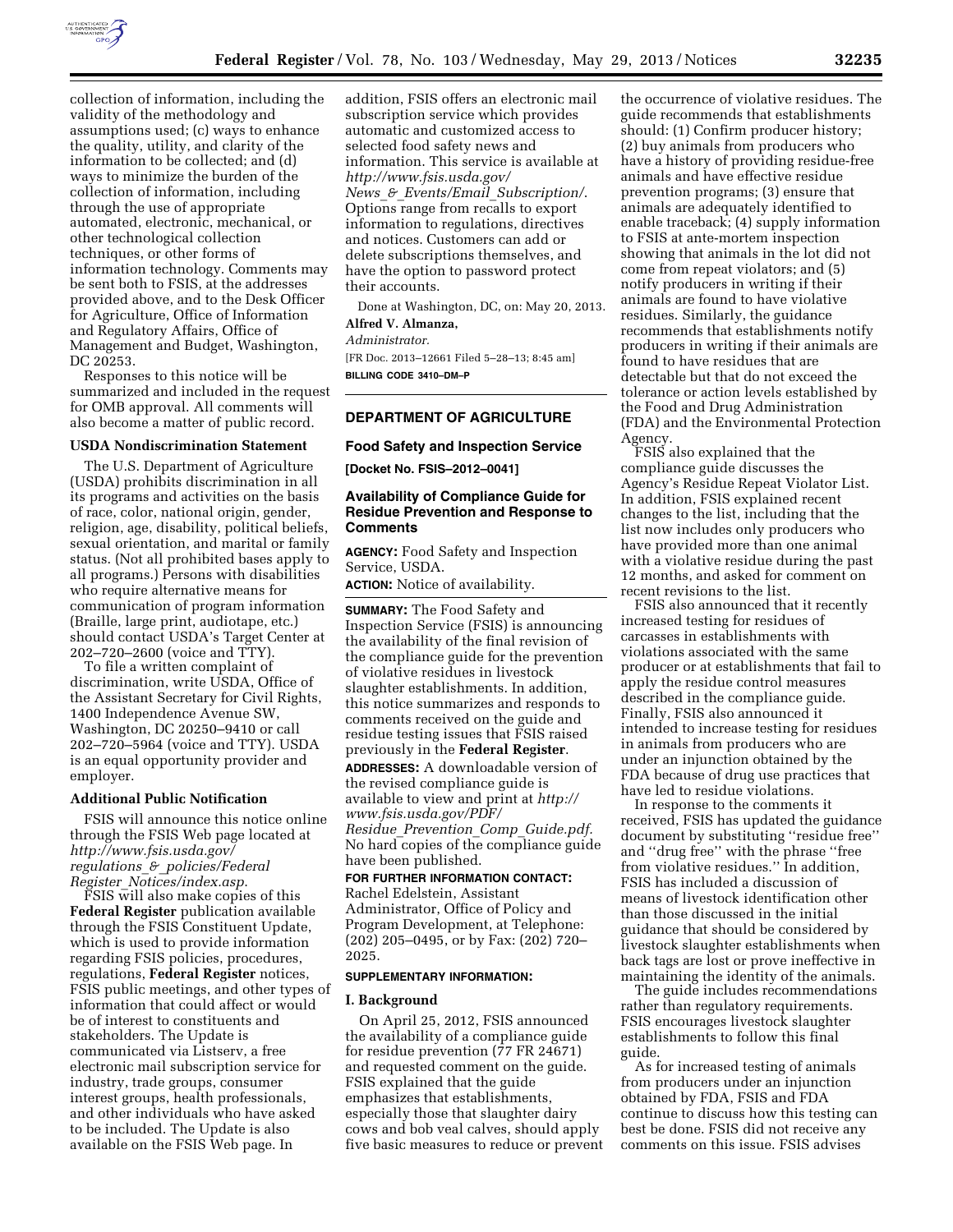

collection of information, including the validity of the methodology and assumptions used; (c) ways to enhance the quality, utility, and clarity of the information to be collected; and (d) ways to minimize the burden of the collection of information, including through the use of appropriate automated, electronic, mechanical, or other technological collection techniques, or other forms of information technology. Comments may be sent both to FSIS, at the addresses provided above, and to the Desk Officer for Agriculture, Office of Information and Regulatory Affairs, Office of Management and Budget, Washington, DC 20253.

Responses to this notice will be summarized and included in the request for OMB approval. All comments will also become a matter of public record.

#### **USDA Nondiscrimination Statement**

The U.S. Department of Agriculture (USDA) prohibits discrimination in all its programs and activities on the basis of race, color, national origin, gender, religion, age, disability, political beliefs, sexual orientation, and marital or family status. (Not all prohibited bases apply to all programs.) Persons with disabilities who require alternative means for communication of program information (Braille, large print, audiotape, etc.) should contact USDA's Target Center at 202–720–2600 (voice and TTY).

To file a written complaint of discrimination, write USDA, Office of the Assistant Secretary for Civil Rights, 1400 Independence Avenue SW, Washington, DC 20250–9410 or call 202–720–5964 (voice and TTY). USDA is an equal opportunity provider and employer.

#### **Additional Public Notification**

FSIS will announce this notice online through the FSIS Web page located at *[http://www.fsis.usda.gov/](http://www.fsis.usda.gov/regulations_&_policies/FederalRegister_Notices/index.asp)  regulations*\_*&*\_*[policies/Federal](http://www.fsis.usda.gov/regulations_&_policies/FederalRegister_Notices/index.asp) Register*\_*[Notices/index.asp](http://www.fsis.usda.gov/regulations_&_policies/FederalRegister_Notices/index.asp)*.

FSIS will also make copies of this **Federal Register** publication available through the FSIS Constituent Update, which is used to provide information regarding FSIS policies, procedures, regulations, **Federal Register** notices, FSIS public meetings, and other types of information that could affect or would be of interest to constituents and stakeholders. The Update is communicated via Listserv, a free electronic mail subscription service for industry, trade groups, consumer interest groups, health professionals, and other individuals who have asked to be included. The Update is also available on the FSIS Web page. In

addition, FSIS offers an electronic mail subscription service which provides automatic and customized access to selected food safety news and information. This service is available at *[http://www.fsis.usda.gov/](http://www.fsis.usda.gov/News_&_Events/Email_Subscription/)  News*\_*&*\_*Events/Email*\_*[Subscription/](http://www.fsis.usda.gov/News_&_Events/Email_Subscription/)*. Options range from recalls to export information to regulations, directives and notices. Customers can add or delete subscriptions themselves, and have the option to password protect their accounts.

Done at Washington, DC, on: May 20, 2013. **Alfred V. Almanza,** 

#### *Administrator.*

[FR Doc. 2013–12661 Filed 5–28–13; 8:45 am] **BILLING CODE 3410–DM–P** 

# **DEPARTMENT OF AGRICULTURE**

# **Food Safety and Inspection Service**

**[Docket No. FSIS–2012–0041]** 

# **Availability of Compliance Guide for Residue Prevention and Response to Comments**

**AGENCY:** Food Safety and Inspection Service, USDA.

**ACTION:** Notice of availability.

**SUMMARY:** The Food Safety and Inspection Service (FSIS) is announcing the availability of the final revision of the compliance guide for the prevention of violative residues in livestock slaughter establishments. In addition, this notice summarizes and responds to comments received on the guide and residue testing issues that FSIS raised previously in the **Federal Register**. **ADDRESSES:** A downloadable version of the revised compliance guide is available to view and print at *[http://](http://www.fsis.usda.gov/PDF/Residue_Prevention_Comp_Guide.pdf)  [www.fsis.usda.gov/PDF/](http://www.fsis.usda.gov/PDF/Residue_Prevention_Comp_Guide.pdf) Residue*\_*[Prevention](http://www.fsis.usda.gov/PDF/Residue_Prevention_Comp_Guide.pdf)*\_*Comp*\_*Guide.pdf.*  No hard copies of the compliance guide have been published.

### **FOR FURTHER INFORMATION CONTACT:**  Rachel Edelstein, Assistant

Administrator, Office of Policy and Program Development, at Telephone: (202) 205–0495, or by Fax: (202) 720– 2025.

### **SUPPLEMENTARY INFORMATION:**

### **I. Background**

On April 25, 2012, FSIS announced the availability of a compliance guide for residue prevention (77 FR 24671) and requested comment on the guide. FSIS explained that the guide emphasizes that establishments, especially those that slaughter dairy cows and bob veal calves, should apply five basic measures to reduce or prevent

the occurrence of violative residues. The guide recommends that establishments should: (1) Confirm producer history; (2) buy animals from producers who have a history of providing residue-free animals and have effective residue prevention programs; (3) ensure that animals are adequately identified to enable traceback; (4) supply information to FSIS at ante-mortem inspection showing that animals in the lot did not come from repeat violators; and (5) notify producers in writing if their animals are found to have violative residues. Similarly, the guidance recommends that establishments notify producers in writing if their animals are found to have residues that are detectable but that do not exceed the tolerance or action levels established by the Food and Drug Administration (FDA) and the Environmental Protection Agency.

FSIS also explained that the compliance guide discusses the Agency's Residue Repeat Violator List. In addition, FSIS explained recent changes to the list, including that the list now includes only producers who have provided more than one animal with a violative residue during the past 12 months, and asked for comment on recent revisions to the list.

FSIS also announced that it recently increased testing for residues of carcasses in establishments with violations associated with the same producer or at establishments that fail to apply the residue control measures described in the compliance guide. Finally, FSIS also announced it intended to increase testing for residues in animals from producers who are under an injunction obtained by the FDA because of drug use practices that have led to residue violations.

In response to the comments it received, FSIS has updated the guidance document by substituting ''residue free'' and ''drug free'' with the phrase ''free from violative residues.'' In addition, FSIS has included a discussion of means of livestock identification other than those discussed in the initial guidance that should be considered by livestock slaughter establishments when back tags are lost or prove ineffective in maintaining the identity of the animals.

The guide includes recommendations rather than regulatory requirements. FSIS encourages livestock slaughter establishments to follow this final guide.

As for increased testing of animals from producers under an injunction obtained by FDA, FSIS and FDA continue to discuss how this testing can best be done. FSIS did not receive any comments on this issue. FSIS advises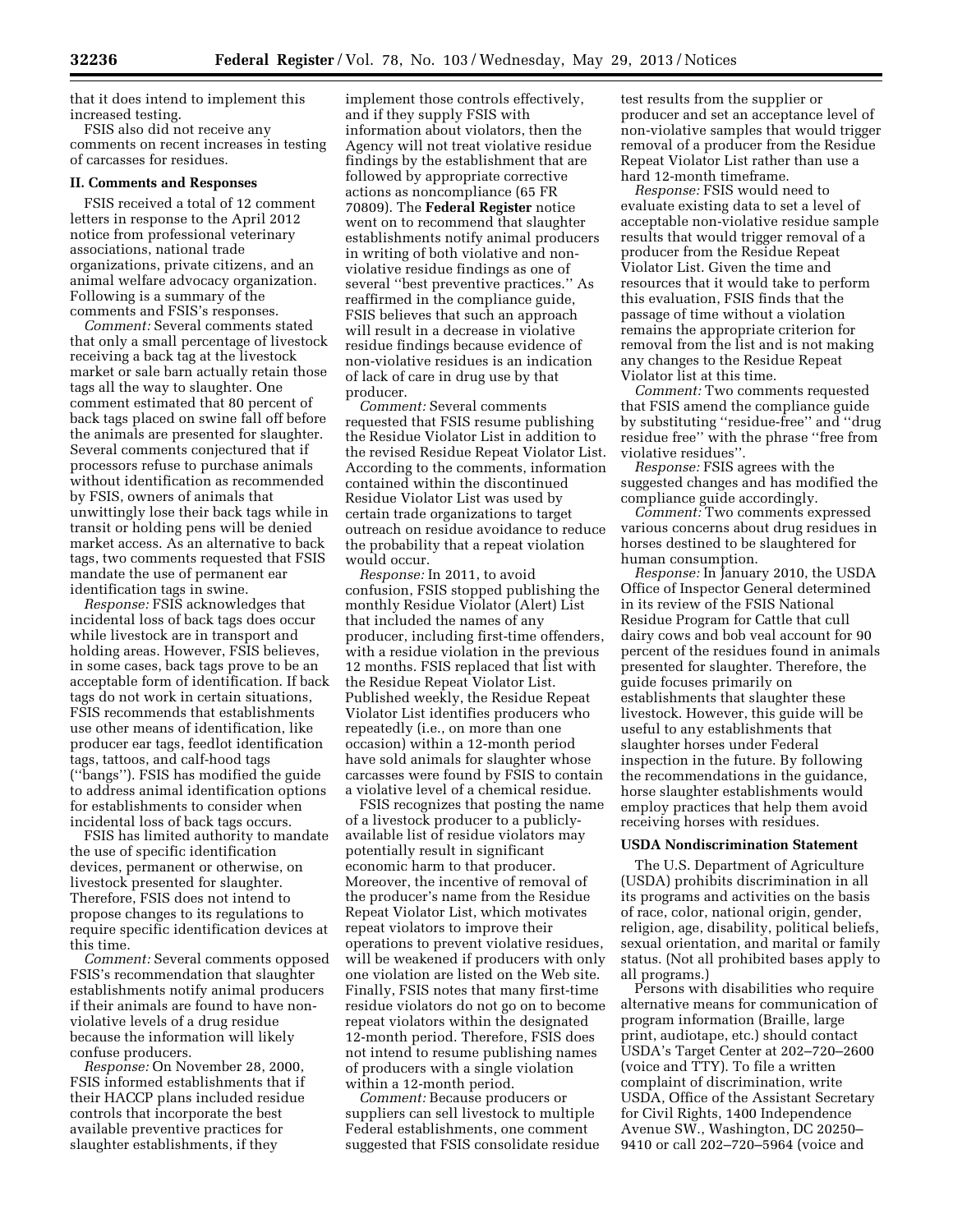that it does intend to implement this increased testing.

FSIS also did not receive any comments on recent increases in testing of carcasses for residues.

#### **II. Comments and Responses**

FSIS received a total of 12 comment letters in response to the April 2012 notice from professional veterinary associations, national trade organizations, private citizens, and an animal welfare advocacy organization. Following is a summary of the comments and FSIS's responses.

*Comment:* Several comments stated that only a small percentage of livestock receiving a back tag at the livestock market or sale barn actually retain those tags all the way to slaughter. One comment estimated that 80 percent of back tags placed on swine fall off before the animals are presented for slaughter. Several comments conjectured that if processors refuse to purchase animals without identification as recommended by FSIS, owners of animals that unwittingly lose their back tags while in transit or holding pens will be denied market access. As an alternative to back tags, two comments requested that FSIS mandate the use of permanent ear identification tags in swine.

*Response:* FSIS acknowledges that incidental loss of back tags does occur while livestock are in transport and holding areas. However, FSIS believes, in some cases, back tags prove to be an acceptable form of identification. If back tags do not work in certain situations, FSIS recommends that establishments use other means of identification, like producer ear tags, feedlot identification tags, tattoos, and calf-hood tags (''bangs''). FSIS has modified the guide to address animal identification options for establishments to consider when incidental loss of back tags occurs.

FSIS has limited authority to mandate the use of specific identification devices, permanent or otherwise, on livestock presented for slaughter. Therefore, FSIS does not intend to propose changes to its regulations to require specific identification devices at this time.

*Comment:* Several comments opposed FSIS's recommendation that slaughter establishments notify animal producers if their animals are found to have nonviolative levels of a drug residue because the information will likely confuse producers.

*Response:* On November 28, 2000, FSIS informed establishments that if their HACCP plans included residue controls that incorporate the best available preventive practices for slaughter establishments, if they

implement those controls effectively, and if they supply FSIS with information about violators, then the Agency will not treat violative residue findings by the establishment that are followed by appropriate corrective actions as noncompliance (65 FR 70809). The **Federal Register** notice went on to recommend that slaughter establishments notify animal producers in writing of both violative and nonviolative residue findings as one of several ''best preventive practices.'' As reaffirmed in the compliance guide, FSIS believes that such an approach will result in a decrease in violative residue findings because evidence of non-violative residues is an indication of lack of care in drug use by that producer.

*Comment:* Several comments requested that FSIS resume publishing the Residue Violator List in addition to the revised Residue Repeat Violator List. According to the comments, information contained within the discontinued Residue Violator List was used by certain trade organizations to target outreach on residue avoidance to reduce the probability that a repeat violation would occur.

*Response:* In 2011, to avoid confusion, FSIS stopped publishing the monthly Residue Violator (Alert) List that included the names of any producer, including first-time offenders, with a residue violation in the previous 12 months. FSIS replaced that list with the Residue Repeat Violator List. Published weekly, the Residue Repeat Violator List identifies producers who repeatedly (i.e., on more than one occasion) within a 12-month period have sold animals for slaughter whose carcasses were found by FSIS to contain a violative level of a chemical residue.

FSIS recognizes that posting the name of a livestock producer to a publiclyavailable list of residue violators may potentially result in significant economic harm to that producer. Moreover, the incentive of removal of the producer's name from the Residue Repeat Violator List, which motivates repeat violators to improve their operations to prevent violative residues, will be weakened if producers with only one violation are listed on the Web site. Finally, FSIS notes that many first-time residue violators do not go on to become repeat violators within the designated 12-month period. Therefore, FSIS does not intend to resume publishing names of producers with a single violation within a 12-month period.

*Comment:* Because producers or suppliers can sell livestock to multiple Federal establishments, one comment suggested that FSIS consolidate residue

test results from the supplier or producer and set an acceptance level of non-violative samples that would trigger removal of a producer from the Residue Repeat Violator List rather than use a hard 12-month timeframe.

*Response:* FSIS would need to evaluate existing data to set a level of acceptable non-violative residue sample results that would trigger removal of a producer from the Residue Repeat Violator List. Given the time and resources that it would take to perform this evaluation, FSIS finds that the passage of time without a violation remains the appropriate criterion for removal from the list and is not making any changes to the Residue Repeat Violator list at this time.

*Comment:* Two comments requested that FSIS amend the compliance guide by substituting ''residue-free'' and ''drug residue free'' with the phrase ''free from violative residues''.

*Response:* FSIS agrees with the suggested changes and has modified the compliance guide accordingly.

*Comment:* Two comments expressed various concerns about drug residues in horses destined to be slaughtered for human consumption.

*Response:* In January 2010, the USDA Office of Inspector General determined in its review of the FSIS National Residue Program for Cattle that cull dairy cows and bob veal account for 90 percent of the residues found in animals presented for slaughter. Therefore, the guide focuses primarily on establishments that slaughter these livestock. However, this guide will be useful to any establishments that slaughter horses under Federal inspection in the future. By following the recommendations in the guidance, horse slaughter establishments would employ practices that help them avoid receiving horses with residues.

### **USDA Nondiscrimination Statement**

The U.S. Department of Agriculture (USDA) prohibits discrimination in all its programs and activities on the basis of race, color, national origin, gender, religion, age, disability, political beliefs, sexual orientation, and marital or family status. (Not all prohibited bases apply to all programs.)

Persons with disabilities who require alternative means for communication of program information (Braille, large print, audiotape, etc.) should contact USDA's Target Center at 202–720–2600 (voice and TTY). To file a written complaint of discrimination, write USDA, Office of the Assistant Secretary for Civil Rights, 1400 Independence Avenue SW., Washington, DC 20250– 9410 or call 202–720–5964 (voice and